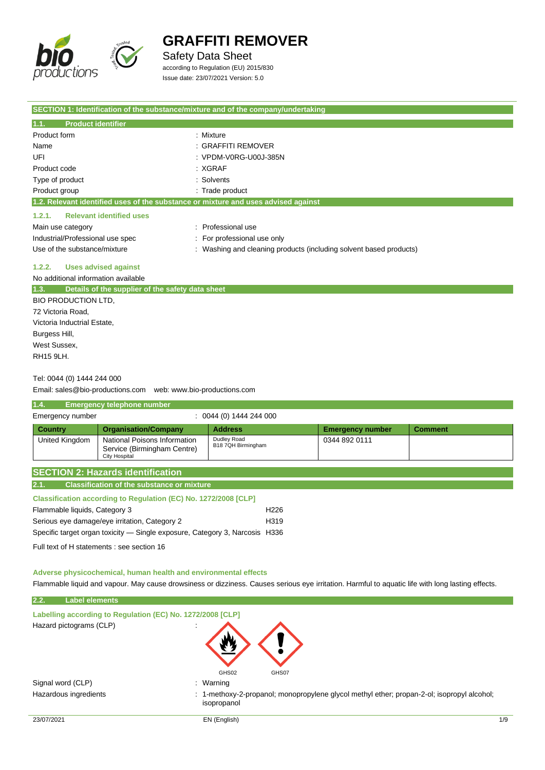

### Safety Data Sheet

according to Regulation (EU) 2015/830 Issue date: 23/07/2021 Version: 5.0

| SECTION 1: Identification of the substance/mixture and of the company/undertaking  |                                                                  |
|------------------------------------------------------------------------------------|------------------------------------------------------------------|
| <b>Product identifier</b><br>1.1.                                                  |                                                                  |
| Product form                                                                       | : Mixture                                                        |
| Name                                                                               | : GRAFFITI REMOVER                                               |
| UFI                                                                                | : VPDM-V0RG-U00J-385N                                            |
| Product code                                                                       | : XGRAF                                                          |
| Type of product                                                                    | : Solvents                                                       |
| Product group                                                                      | : Trade product                                                  |
| 1.2. Relevant identified uses of the substance or mixture and uses advised against |                                                                  |
| 1.2.1.<br><b>Relevant identified uses</b>                                          |                                                                  |
| Main use category                                                                  | Professional use                                                 |
| Industrial/Professional use spec                                                   | For professional use only                                        |
| Use of the substance/mixture                                                       | Washing and cleaning products (including solvent based products) |
| 1.2.2.<br><b>Uses advised against</b>                                              |                                                                  |
| No additional information available                                                |                                                                  |
| 1.3.<br>Details of the supplier of the safety data sheet                           |                                                                  |
| <b>BIO PRODUCTION LTD.</b>                                                         |                                                                  |
| 72 Victoria Road,                                                                  |                                                                  |
| Victoria Inductrial Estate,                                                        |                                                                  |
| Burgess Hill,                                                                      |                                                                  |
| West Sussex.                                                                       |                                                                  |
| <b>RH15 9LH.</b>                                                                   |                                                                  |

### Tel: 0044 (0) 1444 244 000

Email: sales@bio-productions.com web: www.bio-productions.com

| 1.4.             | Emergency telephone number                                                   |                                   |                         |                |  |
|------------------|------------------------------------------------------------------------------|-----------------------------------|-------------------------|----------------|--|
| Emergency number |                                                                              | $: 0044(0)$ 1444 244 000          |                         |                |  |
| <b>Country</b>   | <b>Organisation/Company</b>                                                  | <b>Address</b>                    | <b>Emergency number</b> | <b>Comment</b> |  |
| United Kingdom   | National Poisons Information<br>Service (Birmingham Centre)<br>City Hospital | Dudley Road<br>B18 7QH Birmingham | 0344 892 0111           |                |  |
|                  | <b>SECTION 2: Hazards identification</b>                                     |                                   |                         |                |  |
| 2.1.             | <b>Classification of the substance or mixture</b>                            |                                   |                         |                |  |

| <b>Classification according to Regulation (EC) No. 1272/2008 [CLP]</b>      |                  |
|-----------------------------------------------------------------------------|------------------|
| Flammable liquids, Category 3                                               | H <sub>226</sub> |
| Serious eye damage/eye irritation, Category 2                               | H <sub>319</sub> |
| Specific target organ toxicity — Single exposure, Category 3, Narcosis H336 |                  |

Full text of H statements : see section 16

#### **Adverse physicochemical, human health and environmental effects**

Flammable liquid and vapour. May cause drowsiness or dizziness. Causes serious eye irritation. Harmful to aquatic life with long lasting effects.

### **2.2. Label elements**

| Labelling according to Regulation (EC) No. 1272/2008 [CLP] |                                                                                                                                                                                                                                                                                                                                    |  |
|------------------------------------------------------------|------------------------------------------------------------------------------------------------------------------------------------------------------------------------------------------------------------------------------------------------------------------------------------------------------------------------------------|--|
| Hazard pictograms (CLP)                                    | ٠                                                                                                                                                                                                                                                                                                                                  |  |
|                                                            | GHS02<br>GHS07                                                                                                                                                                                                                                                                                                                     |  |
| Signal word (CLP)                                          | Warning<br>÷                                                                                                                                                                                                                                                                                                                       |  |
| .                                                          | $\overline{a}$ and $\overline{a}$ and $\overline{a}$ and $\overline{a}$ and $\overline{a}$ and $\overline{a}$ and $\overline{a}$ and $\overline{a}$ and $\overline{a}$ and $\overline{a}$ and $\overline{a}$ and $\overline{a}$ and $\overline{a}$ and $\overline{a}$ and $\overline{a}$ and $\overline{a}$ and $\overline{a}$ and |  |

Hazardous ingredients **interpropential controls**: 1-methoxy-2-propanol; monopropylene glycol methyl ether; propan-2-ol; isopropyl alcohol; isopropanol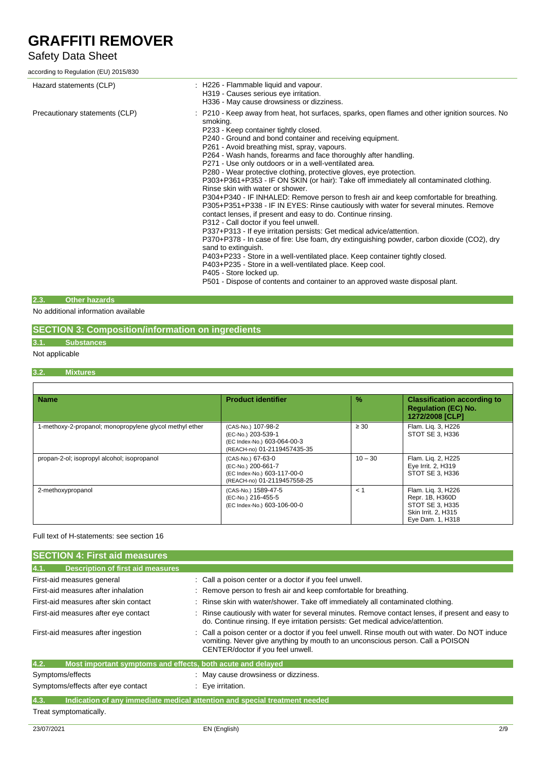### Safety Data Sheet

according to Regulation (EU) 2015/830

| Hazard statements (CLP)        | : H226 - Flammable liquid and vapour.<br>H319 - Causes serious eye irritation.<br>H336 - May cause drowsiness or dizziness.                                                                                                                                                                                                                                                                                                                                                                                                                                                                                                                                                                                                                                                                                                                                                                                                                                                                                                                                                                                                                                                                                                                                                                                                                          |
|--------------------------------|------------------------------------------------------------------------------------------------------------------------------------------------------------------------------------------------------------------------------------------------------------------------------------------------------------------------------------------------------------------------------------------------------------------------------------------------------------------------------------------------------------------------------------------------------------------------------------------------------------------------------------------------------------------------------------------------------------------------------------------------------------------------------------------------------------------------------------------------------------------------------------------------------------------------------------------------------------------------------------------------------------------------------------------------------------------------------------------------------------------------------------------------------------------------------------------------------------------------------------------------------------------------------------------------------------------------------------------------------|
| Precautionary statements (CLP) | : P210 - Keep away from heat, hot surfaces, sparks, open flames and other ignition sources. No<br>smoking.<br>P233 - Keep container tightly closed.<br>P240 - Ground and bond container and receiving equipment.<br>P261 - Avoid breathing mist, spray, vapours.<br>P264 - Wash hands, forearms and face thoroughly after handling.<br>P271 - Use only outdoors or in a well-ventilated area.<br>P280 - Wear protective clothing, protective gloves, eye protection.<br>P303+P361+P353 - IF ON SKIN (or hair): Take off immediately all contaminated clothing.<br>Rinse skin with water or shower.<br>P304+P340 - IF INHALED: Remove person to fresh air and keep comfortable for breathing.<br>P305+P351+P338 - IF IN EYES: Rinse cautiously with water for several minutes. Remove<br>contact lenses, if present and easy to do. Continue rinsing.<br>P312 - Call doctor if you feel unwell.<br>P337+P313 - If eye irritation persists: Get medical advice/attention.<br>P370+P378 - In case of fire: Use foam, dry extinguishing powder, carbon dioxide (CO2), dry<br>sand to extinguish.<br>P403+P233 - Store in a well-ventilated place. Keep container tightly closed.<br>P403+P235 - Store in a well-ventilated place. Keep cool.<br>P405 - Store locked up.<br>P501 - Dispose of contents and container to an approved waste disposal plant. |

### **2.3. Other hazards**

No additional information available

### **SECTION 3: Composition/information on ingredients**

### **3.1. Substances**

### Not applicable

### **3.2. Mixtures**

| <b>Name</b>                                             | <b>Product identifier</b>                                                                              | $\frac{9}{6}$ | <b>Classification according to</b><br><b>Regulation (EC) No.</b><br>1272/2008 [CLP]                 |
|---------------------------------------------------------|--------------------------------------------------------------------------------------------------------|---------------|-----------------------------------------------------------------------------------------------------|
| 1-methoxy-2-propanol; monopropylene glycol methyl ether | (CAS-No.) 107-98-2<br>(EC-No.) 203-539-1<br>(EC Index-No.) 603-064-00-3<br>(REACH-no) 01-2119457435-35 | $\geq 30$     | Flam. Lig. 3, H226<br>STOT SE 3, H336                                                               |
| propan-2-ol; isopropyl alcohol; isopropanol             | (CAS-No.) 67-63-0<br>(EC-No.) 200-661-7<br>(EC Index-No.) 603-117-00-0<br>(REACH-no) 01-2119457558-25  | $10 - 30$     | Flam. Lig. 2, H225<br>Eye Irrit. 2, H319<br>STOT SE 3. H336                                         |
| 2-methoxypropanol                                       | (CAS-No.) 1589-47-5<br>(EC-No.) 216-455-5<br>(EC Index-No.) 603-106-00-0                               | < 1           | Flam. Lig. 3, H226<br>Repr. 1B, H360D<br>STOT SE 3. H335<br>Skin Irrit. 2, H315<br>Eye Dam. 1, H318 |

### Full text of H-statements: see section 16

| <b>SECTION 4: First aid measures</b>                                |                                                                                                                                                                                                                         |
|---------------------------------------------------------------------|-------------------------------------------------------------------------------------------------------------------------------------------------------------------------------------------------------------------------|
| 4.1.<br><b>Description of first aid measures</b>                    |                                                                                                                                                                                                                         |
| First-aid measures general                                          | : Call a poison center or a doctor if you feel unwell.                                                                                                                                                                  |
| First-aid measures after inhalation                                 | Remove person to fresh air and keep comfortable for breathing.                                                                                                                                                          |
| First-aid measures after skin contact                               | : Rinse skin with water/shower. Take off immediately all contaminated clothing.                                                                                                                                         |
| First-aid measures after eye contact                                | Rinse cautiously with water for several minutes. Remove contact lenses, if present and easy to<br>do. Continue rinsing. If eye irritation persists: Get medical advice/attention.                                       |
| First-aid measures after ingestion                                  | : Call a poison center or a doctor if you feel unwell. Rinse mouth out with water. Do NOT induce<br>vomiting. Never give anything by mouth to an unconscious person. Call a POISON<br>CENTER/doctor if you feel unwell. |
| 4.2.<br>Most important symptoms and effects, both acute and delayed |                                                                                                                                                                                                                         |
| Symptoms/effects                                                    | : May cause drowsiness or dizziness.                                                                                                                                                                                    |
| Symptoms/effects after eye contact                                  | : Eye irritation.                                                                                                                                                                                                       |
| 4.3.                                                                | Indication of any immediate medical attention and special treatment needed                                                                                                                                              |
| Treat symptomatically.                                              |                                                                                                                                                                                                                         |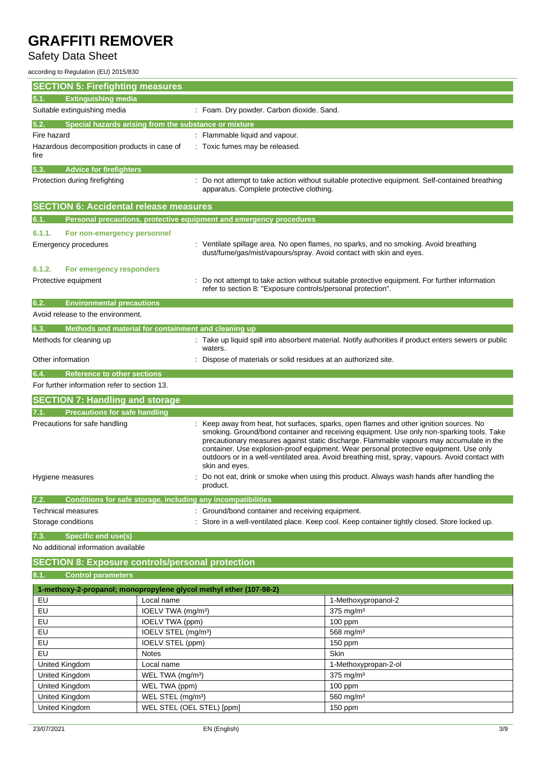## Safety Data Sheet

according to Regulation (EU) 2015/830

| <b>SECTION 5: Firefighting measures</b>                                  |                                                            |                                                                     |                                                                                                                                                                                       |
|--------------------------------------------------------------------------|------------------------------------------------------------|---------------------------------------------------------------------|---------------------------------------------------------------------------------------------------------------------------------------------------------------------------------------|
| <b>Extinguishing media</b><br>5.1.                                       |                                                            |                                                                     |                                                                                                                                                                                       |
| Suitable extinguishing media                                             |                                                            | : Foam. Dry powder. Carbon dioxide. Sand.                           |                                                                                                                                                                                       |
| Special hazards arising from the substance or mixture<br>5.2.            |                                                            |                                                                     |                                                                                                                                                                                       |
| Fire hazard                                                              |                                                            | : Flammable liquid and vapour.                                      |                                                                                                                                                                                       |
| Hazardous decomposition products in case of                              |                                                            | : Toxic fumes may be released.                                      |                                                                                                                                                                                       |
| fire                                                                     |                                                            |                                                                     |                                                                                                                                                                                       |
| 5.3.<br><b>Advice for firefighters</b>                                   |                                                            |                                                                     |                                                                                                                                                                                       |
| Protection during firefighting                                           |                                                            |                                                                     | Do not attempt to take action without suitable protective equipment. Self-contained breathing                                                                                         |
|                                                                          |                                                            | apparatus. Complete protective clothing.                            |                                                                                                                                                                                       |
| <b>SECTION 6: Accidental release measures</b>                            |                                                            |                                                                     |                                                                                                                                                                                       |
| 6.1.                                                                     |                                                            | Personal precautions, protective equipment and emergency procedures |                                                                                                                                                                                       |
| 6.1.1.<br>For non-emergency personnel                                    |                                                            |                                                                     |                                                                                                                                                                                       |
| <b>Emergency procedures</b>                                              |                                                            |                                                                     | : Ventilate spillage area. No open flames, no sparks, and no smoking. Avoid breathing                                                                                                 |
|                                                                          |                                                            | dust/fume/gas/mist/vapours/spray. Avoid contact with skin and eyes. |                                                                                                                                                                                       |
| 6.1.2.<br>For emergency responders                                       |                                                            |                                                                     |                                                                                                                                                                                       |
| Protective equipment                                                     |                                                            |                                                                     | Do not attempt to take action without suitable protective equipment. For further information                                                                                          |
|                                                                          |                                                            | refer to section 8: "Exposure controls/personal protection".        |                                                                                                                                                                                       |
| <b>Environmental precautions</b><br>6.2.                                 |                                                            |                                                                     |                                                                                                                                                                                       |
| Avoid release to the environment.                                        |                                                            |                                                                     |                                                                                                                                                                                       |
| 6.3.<br>Methods and material for containment and cleaning up             |                                                            |                                                                     |                                                                                                                                                                                       |
| Methods for cleaning up                                                  |                                                            |                                                                     | : Take up liquid spill into absorbent material. Notify authorities if product enters sewers or public                                                                                 |
|                                                                          |                                                            | waters.                                                             |                                                                                                                                                                                       |
| Other information                                                        |                                                            | Dispose of materials or solid residues at an authorized site.       |                                                                                                                                                                                       |
| 6.4.<br><b>Reference to other sections</b>                               |                                                            |                                                                     |                                                                                                                                                                                       |
| For further information refer to section 13.                             |                                                            |                                                                     |                                                                                                                                                                                       |
| <b>SECTION 7: Handling and storage</b>                                   |                                                            |                                                                     |                                                                                                                                                                                       |
| <b>Precautions for safe handling</b><br>7.1.                             |                                                            |                                                                     |                                                                                                                                                                                       |
| Precautions for safe handling                                            |                                                            |                                                                     | Keep away from heat, hot surfaces, sparks, open flames and other ignition sources. No                                                                                                 |
|                                                                          |                                                            |                                                                     | smoking. Ground/bond container and receiving equipment. Use only non-sparking tools. Take<br>precautionary measures against static discharge. Flammable vapours may accumulate in the |
|                                                                          |                                                            |                                                                     | container. Use explosion-proof equipment. Wear personal protective equipment. Use only                                                                                                |
|                                                                          |                                                            |                                                                     | outdoors or in a well-ventilated area. Avoid breathing mist, spray, vapours. Avoid contact with                                                                                       |
| Hygiene measures                                                         |                                                            | skin and eyes.                                                      | Do not eat, drink or smoke when using this product. Always wash hands after handling the                                                                                              |
|                                                                          |                                                            | product.                                                            |                                                                                                                                                                                       |
| 7.2.                                                                     |                                                            | Conditions for safe storage, including any incompatibilities        |                                                                                                                                                                                       |
| <b>Technical measures</b>                                                |                                                            | : Ground/bond container and receiving equipment.                    |                                                                                                                                                                                       |
| Storage conditions                                                       |                                                            |                                                                     | : Store in a well-ventilated place. Keep cool. Keep container tightly closed. Store locked up.                                                                                        |
| <b>Specific end use(s)</b><br>7.3.                                       |                                                            |                                                                     |                                                                                                                                                                                       |
| No additional information available                                      |                                                            |                                                                     |                                                                                                                                                                                       |
| <b>SECTION 8: Exposure controls/personal protection</b>                  |                                                            |                                                                     |                                                                                                                                                                                       |
| 8.1.<br><b>Control parameters</b>                                        |                                                            |                                                                     |                                                                                                                                                                                       |
|                                                                          |                                                            |                                                                     |                                                                                                                                                                                       |
| 1-methoxy-2-propanol; monopropylene glycol methyl ether (107-98-2)<br>EU | Local name                                                 |                                                                     |                                                                                                                                                                                       |
| EU                                                                       | IOELV TWA (mg/m <sup>3</sup> )                             |                                                                     | 1-Methoxypropanol-2<br>375 mg/m <sup>3</sup>                                                                                                                                          |
| EU                                                                       | <b>IOELV TWA (ppm)</b>                                     |                                                                     | 100 ppm                                                                                                                                                                               |
| EU                                                                       | IOELV STEL (mg/m <sup>3</sup> )                            |                                                                     | 568 mg/m <sup>3</sup>                                                                                                                                                                 |
| EU                                                                       | IOELV STEL (ppm)                                           |                                                                     | 150 ppm                                                                                                                                                                               |
| EU                                                                       | <b>Notes</b>                                               |                                                                     | Skin                                                                                                                                                                                  |
| United Kingdom                                                           | Local name                                                 |                                                                     | 1-Methoxypropan-2-ol                                                                                                                                                                  |
| United Kingdom                                                           | WEL TWA (mg/m <sup>3</sup> )                               |                                                                     | 375 mg/m <sup>3</sup>                                                                                                                                                                 |
| United Kingdom                                                           | WEL TWA (ppm)                                              |                                                                     | 100 ppm                                                                                                                                                                               |
| United Kingdom<br>United Kingdom                                         | WEL STEL (mg/m <sup>3</sup> )<br>WEL STEL (OEL STEL) [ppm] |                                                                     | 560 mg/m <sup>3</sup><br>150 ppm                                                                                                                                                      |
|                                                                          |                                                            |                                                                     |                                                                                                                                                                                       |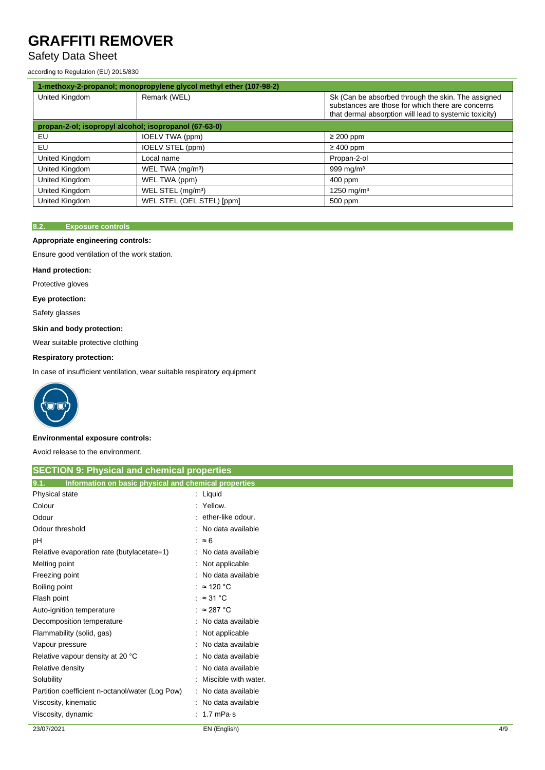## Safety Data Sheet

according to Regulation (EU) 2015/830

|                                                       | 1-methoxy-2-propanol; monopropylene glycol methyl ether (107-98-2) |                                                                                                                                                                   |
|-------------------------------------------------------|--------------------------------------------------------------------|-------------------------------------------------------------------------------------------------------------------------------------------------------------------|
| United Kingdom                                        | Remark (WEL)                                                       | Sk (Can be absorbed through the skin. The assigned<br>substances are those for which there are concerns<br>that dermal absorption will lead to systemic toxicity) |
| propan-2-ol; isopropyl alcohol; isopropanol (67-63-0) |                                                                    |                                                                                                                                                                   |
| EU                                                    | IOELV TWA (ppm)                                                    | $\geq$ 200 ppm                                                                                                                                                    |
| EU                                                    | IOELV STEL (ppm)                                                   | $\geq 400$ ppm                                                                                                                                                    |
| United Kingdom                                        | Local name                                                         | Propan-2-ol                                                                                                                                                       |
| United Kingdom                                        | WEL TWA (mg/m <sup>3</sup> )                                       | 999 mg/m <sup>3</sup>                                                                                                                                             |
| United Kingdom                                        | WEL TWA (ppm)                                                      | 400 ppm                                                                                                                                                           |
| United Kingdom                                        | WEL STEL (mg/m <sup>3</sup> )                                      | 1250 mg/m <sup>3</sup>                                                                                                                                            |
| United Kingdom                                        | WEL STEL (OEL STEL) [ppm]                                          | 500 ppm                                                                                                                                                           |

### **8.2. Exposure controls**

### **Appropriate engineering controls:**

Ensure good ventilation of the work station.

### **Hand protection:**

Protective gloves

### **Eye protection:**

Safety glasses

### **Skin and body protection:**

Wear suitable protective clothing

### **Respiratory protection:**

In case of insufficient ventilation, wear suitable respiratory equipment



### **Environmental exposure controls:**

Avoid release to the environment.

| <b>SECTION 9: Physical and chemical properties</b>            |                      |
|---------------------------------------------------------------|----------------------|
| 9.1.<br>Information on basic physical and chemical properties |                      |
| Physical state                                                | $:$ Liquid           |
| Colour                                                        | : Yellow.            |
| Odour                                                         | ether-like odour.    |
| Odour threshold                                               | : No data available  |
| рH                                                            | $\approx 6$          |
| Relative evaporation rate (butylacetate=1)                    | : No data available  |
| Melting point                                                 | : Not applicable     |
| Freezing point                                                | : No data available  |
| Boiling point                                                 | : $\approx$ 120 °C   |
| Flash point                                                   | : $\approx$ 31 °C    |
| Auto-ignition temperature                                     | : $\approx$ 287 °C   |
| Decomposition temperature                                     | : No data available  |
| Flammability (solid, gas)                                     | : Not applicable     |
| Vapour pressure                                               | : No data available  |
| Relative vapour density at 20 °C                              | No data available    |
| Relative density                                              | : No data available  |
| Solubility                                                    | Miscible with water. |
| Partition coefficient n-octanol/water (Log Pow)               | : No data available  |
| Viscosity, kinematic                                          | : No data available  |
| Viscosity, dynamic                                            | $: 1.7$ mPa s        |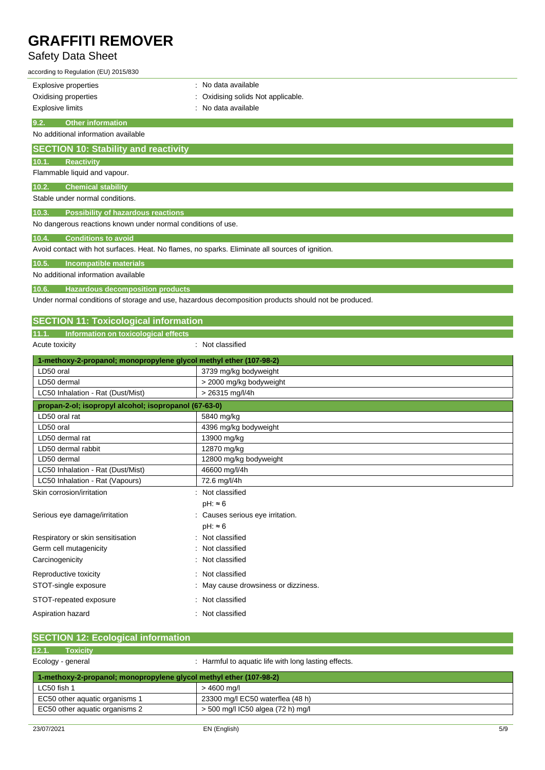## Safety Data Sheet

| according to Regulation (EU) 2015/830                              |                                                                                                      |
|--------------------------------------------------------------------|------------------------------------------------------------------------------------------------------|
| <b>Explosive properties</b>                                        | : No data available                                                                                  |
| Oxidising properties                                               | Oxidising solids Not applicable.                                                                     |
| <b>Explosive limits</b>                                            | No data available                                                                                    |
| 9.2.<br><b>Other information</b>                                   |                                                                                                      |
| No additional information available                                |                                                                                                      |
| <b>SECTION 10: Stability and reactivity</b>                        |                                                                                                      |
| <b>Reactivity</b><br>10.1.                                         |                                                                                                      |
| Flammable liquid and vapour.                                       |                                                                                                      |
| <b>Chemical stability</b><br>10.2.                                 |                                                                                                      |
| Stable under normal conditions.                                    |                                                                                                      |
| <b>Possibility of hazardous reactions</b><br>10.3.                 |                                                                                                      |
| No dangerous reactions known under normal conditions of use.       |                                                                                                      |
| <b>Conditions to avoid</b><br>10.4.                                |                                                                                                      |
|                                                                    | Avoid contact with hot surfaces. Heat. No flames, no sparks. Eliminate all sources of ignition.      |
| 10.5.<br>Incompatible materials                                    |                                                                                                      |
| No additional information available                                |                                                                                                      |
| 10.6.<br><b>Hazardous decomposition products</b>                   |                                                                                                      |
|                                                                    | Under normal conditions of storage and use, hazardous decomposition products should not be produced. |
|                                                                    |                                                                                                      |
| <b>SECTION 11: Toxicological information</b>                       |                                                                                                      |
| 11.1. Information on toxicological effects                         |                                                                                                      |
| Acute toxicity                                                     | : Not classified                                                                                     |
| 1-methoxy-2-propanol; monopropylene glycol methyl ether (107-98-2) |                                                                                                      |
| LD50 oral                                                          | 3739 mg/kg bodyweight                                                                                |
| LD50 dermal                                                        | > 2000 mg/kg bodyweight                                                                              |
| LC50 Inhalation - Rat (Dust/Mist)                                  | > 26315 mg/l/4h                                                                                      |
| propan-2-ol; isopropyl alcohol; isopropanol (67-63-0)              |                                                                                                      |
| LD50 oral rat                                                      | 5840 mg/kg                                                                                           |
| LD50 oral                                                          | 4396 mg/kg bodyweight                                                                                |
| LD50 dermal rat                                                    | 13900 mg/kg                                                                                          |
| LD50 dermal rabbit                                                 | 12870 mg/kg                                                                                          |
| LD50 dermal                                                        | 12800 mg/kg bodyweight                                                                               |
| LC50 Inhalation - Rat (Dust/Mist)                                  | 46600 mg/l/4h                                                                                        |
| LC50 Inhalation - Rat (Vapours)                                    | 72.6 mg/l/4h                                                                                         |
| Skin corrosion/irritation                                          | : Not classified                                                                                     |
|                                                                    | $pH: \approx 6$                                                                                      |

| STOT-repeated exposure                                             | Not classified                                     |
|--------------------------------------------------------------------|----------------------------------------------------|
| Aspiration hazard                                                  | : Not classified                                   |
|                                                                    |                                                    |
| <b>SECTION 12: Ecological information</b>                          |                                                    |
| 12.1.<br><b>Toxicity</b>                                           |                                                    |
| Ecology - general                                                  | Harmful to aquatic life with long lasting effects. |
| 1-methoxy-2-propanol; monopropylene glycol methyl ether (107-98-2) |                                                    |
| LC50 fish 1                                                        | $>4600$ mg/l                                       |
| EC50 other aquatic organisms 1                                     | 23300 mg/l EC50 waterflea (48 h)                   |
| EC50 other aquatic organisms 2                                     | > 500 mg/l IC50 algea (72 h) mg/l                  |
|                                                                    |                                                    |

pH: ≈ 6

Serious eye damage/irritation : Causes serious eye irritation.

STOT-single exposure **in the state of the state of the STOT-single exposure**  $\cdot$  May cause drowsiness or dizziness.

Respiratory or skin sensitisation : Not classified Germ cell mutagenicity **in the case of the control of the control of the control of the control of the control of the control of the control of the control of the control of the control of the control of the control of the** Carcinogenicity **Carcinogenicity** : Not classified Reproductive toxicity **in the case of the CR**eproductive toxicity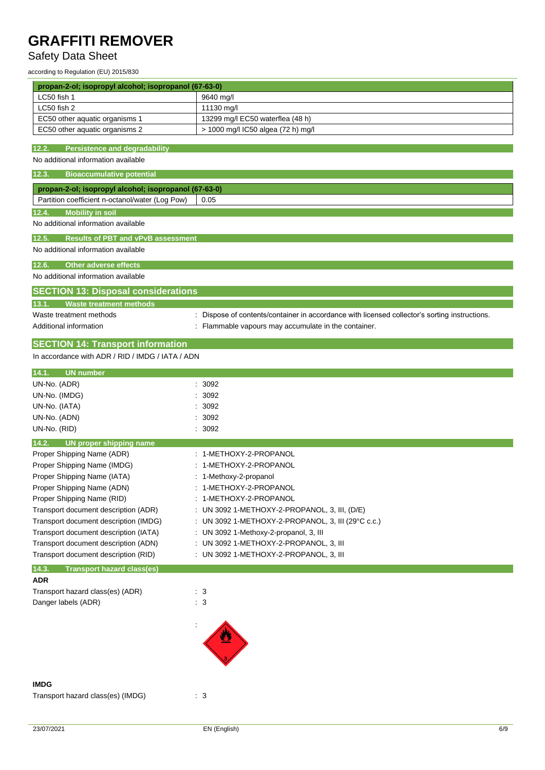## Safety Data Sheet

according to Regulation (EU) 2015/830

| propan-2-ol; isopropyl alcohol; isopropanol (67-63-0) |                                                                                             |  |
|-------------------------------------------------------|---------------------------------------------------------------------------------------------|--|
| LC50 fish 1                                           | 9640 mg/l                                                                                   |  |
| LC50 fish 2                                           | 11130 mg/l                                                                                  |  |
| EC50 other aquatic organisms 1                        | 13299 mg/l EC50 waterflea (48 h)                                                            |  |
| EC50 other aquatic organisms 2                        | > 1000 mg/l IC50 algea (72 h) mg/l                                                          |  |
| 12.2.<br><b>Persistence and degradability</b>         |                                                                                             |  |
| No additional information available                   |                                                                                             |  |
| <b>Bioaccumulative potential</b><br>12.3.             |                                                                                             |  |
| propan-2-ol; isopropyl alcohol; isopropanol (67-63-0) |                                                                                             |  |
| Partition coefficient n-octanol/water (Log Pow)       | 0.05                                                                                        |  |
| <b>Mobility in soil</b><br>12.4.                      |                                                                                             |  |
| No additional information available                   |                                                                                             |  |
| <b>Results of PBT and vPvB assessment</b><br>12.5.    |                                                                                             |  |
| No additional information available                   |                                                                                             |  |
|                                                       |                                                                                             |  |
| <b>Other adverse effects</b><br>12.6.                 |                                                                                             |  |
| No additional information available                   |                                                                                             |  |
| <b>SECTION 13: Disposal considerations</b>            |                                                                                             |  |
| <b>Waste treatment methods</b><br>13.1.               |                                                                                             |  |
| Waste treatment methods                               | Dispose of contents/container in accordance with licensed collector's sorting instructions. |  |
| Additional information                                | Flammable vapours may accumulate in the container.                                          |  |
| <b>SECTION 14: Transport information</b>              |                                                                                             |  |
| In accordance with ADR / RID / IMDG / IATA / ADN      |                                                                                             |  |
|                                                       |                                                                                             |  |
| UN number<br>14.1.                                    |                                                                                             |  |
| UN-No. (ADR)                                          | 3092<br>3092                                                                                |  |
| UN-No. (IMDG)<br>UN-No. (IATA)                        | 3092                                                                                        |  |
| UN-No. (ADN)                                          | 3092                                                                                        |  |
| UN-No. (RID)                                          | 3092                                                                                        |  |
| 14.2.<br><b>UN proper shipping name</b>               |                                                                                             |  |
| Proper Shipping Name (ADR)                            | : 1-METHOXY-2-PROPANOL                                                                      |  |
| Proper Shipping Name (IMDG)                           | 1-METHOXY-2-PROPANOL                                                                        |  |
| Proper Shipping Name (IATA)                           | : 1-Methoxy-2-propanol                                                                      |  |
| Proper Shipping Name (ADN)                            | 1-METHOXY-2-PROPANOL                                                                        |  |
| Proper Shipping Name (RID)                            | : 1-METHOXY-2-PROPANOL                                                                      |  |
| Transport document description (ADR)                  | : UN 3092 1-METHOXY-2-PROPANOL, 3, III, (D/E)                                               |  |
| Transport document description (IMDG)                 | : UN 3092 1-METHOXY-2-PROPANOL, 3, III (29°C c.c.)                                          |  |
| Transport document description (IATA)                 | : UN 3092 1-Methoxy-2-propanol, 3, III                                                      |  |
| Transport document description (ADN)                  | : UN 3092 1-METHOXY-2-PROPANOL, 3, III                                                      |  |
| Transport document description (RID)                  | : UN 3092 1-METHOXY-2-PROPANOL, 3, III                                                      |  |
| 14.3.<br><b>Transport hazard class(es)</b>            |                                                                                             |  |
| <b>ADR</b>                                            |                                                                                             |  |
| Transport hazard class(es) (ADR)                      | $\therefore$ 3                                                                              |  |
| Danger labels (ADR)                                   | : 3                                                                                         |  |
|                                                       |                                                                                             |  |
|                                                       |                                                                                             |  |
|                                                       |                                                                                             |  |
|                                                       |                                                                                             |  |
|                                                       |                                                                                             |  |
| <b>IMDG</b>                                           |                                                                                             |  |
| Transport hazard class(es) (IMDG)                     | $\therefore$ 3                                                                              |  |
|                                                       |                                                                                             |  |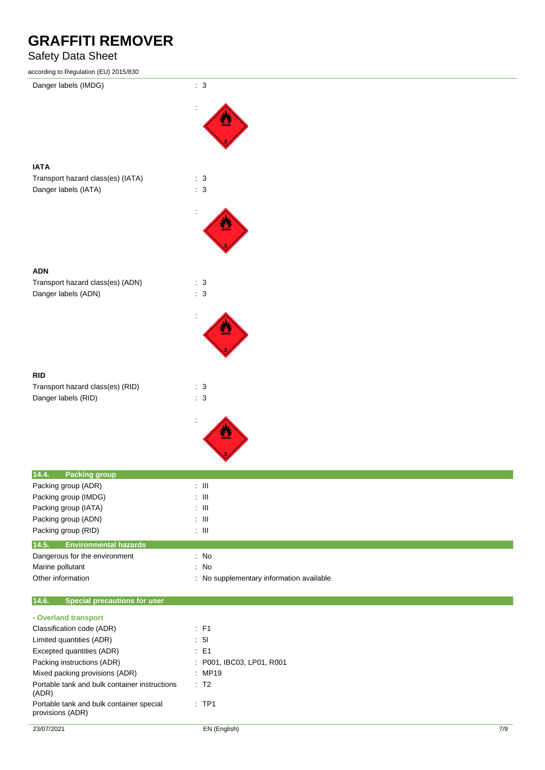## Safety Data Sheet

| according to Regulation (EU) 2015/830                                           |                                          |
|---------------------------------------------------------------------------------|------------------------------------------|
| Danger labels (IMDG)                                                            | : 3                                      |
|                                                                                 |                                          |
|                                                                                 |                                          |
|                                                                                 |                                          |
|                                                                                 |                                          |
|                                                                                 |                                          |
| <b>IATA</b>                                                                     |                                          |
| Transport hazard class(es) (IATA)                                               | $\therefore$ 3                           |
| Danger labels (IATA)                                                            | $\therefore$ 3                           |
|                                                                                 |                                          |
|                                                                                 |                                          |
|                                                                                 |                                          |
|                                                                                 |                                          |
|                                                                                 |                                          |
|                                                                                 |                                          |
| <b>ADN</b><br>Transport hazard class(es) (ADN)                                  | $\therefore$ 3                           |
| Danger labels (ADN)                                                             | : 3                                      |
|                                                                                 |                                          |
|                                                                                 |                                          |
|                                                                                 |                                          |
|                                                                                 |                                          |
|                                                                                 |                                          |
|                                                                                 |                                          |
| <b>RID</b>                                                                      |                                          |
| Transport hazard class(es) (RID)                                                | : 3                                      |
| Danger labels (RID)                                                             | : 3                                      |
|                                                                                 |                                          |
|                                                                                 |                                          |
|                                                                                 |                                          |
|                                                                                 |                                          |
|                                                                                 |                                          |
| 14.4.<br><b>Packing group</b>                                                   |                                          |
| Packing group (ADR)                                                             | $\div$ III                               |
| Packing group (IMDG)<br>Packing group (IATA)                                    | $: \mathsf{III}$<br>$:$ $\mathbb H$      |
| Packing group (ADN)                                                             | $:$ $\mathbb H$                          |
| Packing group (RID)                                                             | $\div$ III                               |
| 14.5.<br><b>Environmental hazards</b>                                           |                                          |
| Dangerous for the environment                                                   | $:$ No                                   |
| Marine pollutant                                                                | $\therefore$ No                          |
| Other information                                                               | : No supplementary information available |
|                                                                                 |                                          |
| 14.6.<br><b>Special precautions for user</b>                                    |                                          |
| - Overland transport                                                            |                                          |
| Classification code (ADR)                                                       | : F1                                     |
| Limited quantities (ADR)                                                        | : 51                                     |
| Excepted quantities (ADR)                                                       | $\therefore$ E1                          |
| Packing instructions (ADR)                                                      | : P001, IBC03, LP01, R001                |
| Mixed packing provisions (ADR)<br>Portable tank and bulk container instructions | : MP19                                   |
|                                                                                 | : T2                                     |

provisions (ADR)

Portable tank and bulk container special

(ADR)

: TP1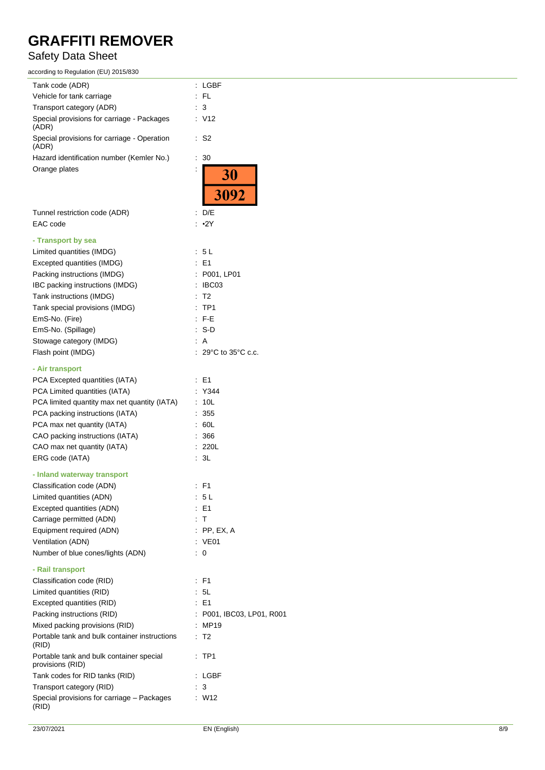## Safety Data Sheet

| according to Regulation (EU) 2015/830                        |                                             |
|--------------------------------------------------------------|---------------------------------------------|
| Tank code (ADR)                                              | : LGBF                                      |
| Vehicle for tank carriage                                    | $:$ FL                                      |
| Transport category (ADR)                                     | : 3                                         |
| Special provisions for carriage - Packages                   | : V12                                       |
| (ADR)                                                        |                                             |
| Special provisions for carriage - Operation<br>(ADR)         | S <sub>2</sub><br>÷.                        |
| Hazard identification number (Kemler No.)                    | 30<br>÷.                                    |
| Orange plates                                                |                                             |
|                                                              |                                             |
|                                                              | $\frac{30}{3092}$                           |
| Tunnel restriction code (ADR)                                | $\therefore$ D/E                            |
| EAC code                                                     | : ∙2Y                                       |
|                                                              |                                             |
| - Transport by sea                                           |                                             |
| Limited quantities (IMDG)                                    | : 5 L                                       |
| Excepted quantities (IMDG)                                   | : E1                                        |
| Packing instructions (IMDG)                                  | : P001, LP01                                |
| IBC packing instructions (IMDG)                              | : IBC03                                     |
| Tank instructions (IMDG)                                     | T <sub>2</sub><br>÷.                        |
| Tank special provisions (IMDG)                               | TP <sub>1</sub><br>÷.                       |
| EmS-No. (Fire)                                               | $:$ F-E                                     |
| EmS-No. (Spillage)                                           | : S-D                                       |
| Stowage category (IMDG)                                      | : A                                         |
| Flash point (IMDG)                                           | ÷.<br>$29^{\circ}$ C to $35^{\circ}$ C c.c. |
|                                                              |                                             |
| - Air transport                                              |                                             |
| PCA Excepted quantities (IATA)                               | : E1                                        |
| PCA Limited quantities (IATA)                                | : Y344                                      |
| PCA limited quantity max net quantity (IATA)                 | : 10L                                       |
| PCA packing instructions (IATA)                              | 355                                         |
| PCA max net quantity (IATA)                                  | .60L                                        |
| CAO packing instructions (IATA)                              | 366                                         |
| CAO max net quantity (IATA)                                  | : 220L                                      |
| ERG code (IATA)                                              | ÷.<br>3L                                    |
|                                                              |                                             |
| - Inland waterway transport                                  |                                             |
| Classification code (ADN)                                    | : F1                                        |
| Limited quantities (ADN)                                     | : 5L                                        |
| Excepted quantities (ADN)                                    | $E = 1$                                     |
| Carriage permitted (ADN)                                     | : T                                         |
| Equipment required (ADN)                                     | $:$ PP, EX, A                               |
| Ventilation (ADN)                                            | : VE01                                      |
| Number of blue cones/lights (ADN)                            | 0<br>t.                                     |
| - Rail transport                                             |                                             |
| Classification code (RID)                                    | : F1                                        |
| Limited quantities (RID)                                     | 5L<br>÷.                                    |
| Excepted quantities (RID)                                    | : E1                                        |
| Packing instructions (RID)                                   | P001, IBC03, LP01, R001                     |
| Mixed packing provisions (RID)                               | <b>MP19</b>                                 |
| Portable tank and bulk container instructions<br>(RID)       | ÷.<br>T <sub>2</sub>                        |
| Portable tank and bulk container special<br>provisions (RID) | TP1<br>÷                                    |
| Tank codes for RID tanks (RID)                               | LGBF                                        |
| Transport category (RID)                                     | 3                                           |
| Special provisions for carriage - Packages                   | : W12                                       |
| (RID)                                                        |                                             |